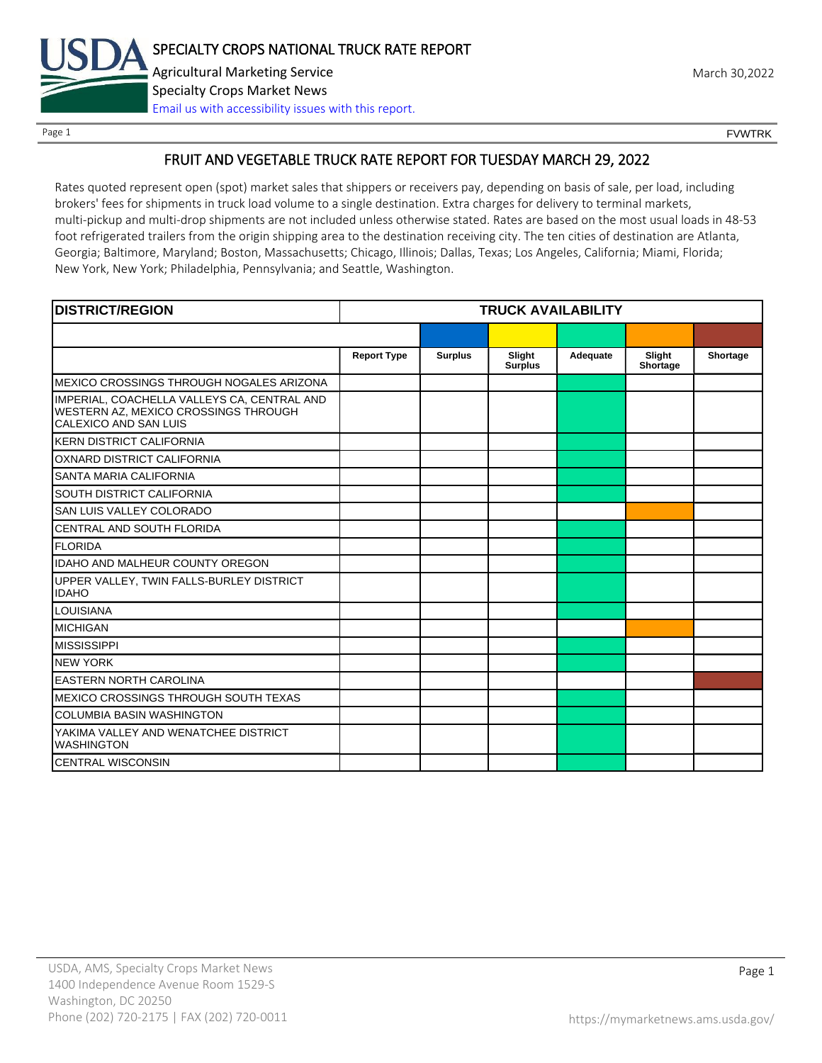

Page 1 FOUNTRK CONTROL CONTROL CONTROL CONTROL CONTROL CONTROL CONTROL CONTROL CONTROL CONTROL CONTROL CONTROL CONTROL CONTROL CONTROL CONTROL CONTROL CONTROL CONTROL CONTROL CONTROL CONTROL CONTROL CONTROL CONTROL CONTROL

## FRUIT AND VEGETABLE TRUCK RATE REPORT FOR TUESDAY MARCH 29, 2022

Rates quoted represent open (spot) market sales that shippers or receivers pay, depending on basis of sale, per load, including brokers' fees for shipments in truck load volume to a single destination. Extra charges for delivery to terminal markets, multi-pickup and multi-drop shipments are not included unless otherwise stated. Rates are based on the most usual loads in 48-53 foot refrigerated trailers from the origin shipping area to the destination receiving city. The ten cities of destination are Atlanta, Georgia; Baltimore, Maryland; Boston, Massachusetts; Chicago, Illinois; Dallas, Texas; Los Angeles, California; Miami, Florida; New York, New York; Philadelphia, Pennsylvania; and Seattle, Washington.

| <b>DISTRICT/REGION</b>                                                                                              | <b>TRUCK AVAILABILITY</b> |                |                          |          |                    |          |
|---------------------------------------------------------------------------------------------------------------------|---------------------------|----------------|--------------------------|----------|--------------------|----------|
|                                                                                                                     |                           |                |                          |          |                    |          |
|                                                                                                                     | <b>Report Type</b>        | <b>Surplus</b> | Slight<br><b>Surplus</b> | Adequate | Slight<br>Shortage | Shortage |
| IMEXICO CROSSINGS THROUGH NOGALES ARIZONA                                                                           |                           |                |                          |          |                    |          |
| IMPERIAL, COACHELLA VALLEYS CA, CENTRAL AND<br>WESTERN AZ, MEXICO CROSSINGS THROUGH<br><b>CALEXICO AND SAN LUIS</b> |                           |                |                          |          |                    |          |
| <b>KERN DISTRICT CALIFORNIA</b>                                                                                     |                           |                |                          |          |                    |          |
| OXNARD DISTRICT CALIFORNIA                                                                                          |                           |                |                          |          |                    |          |
| <b>SANTA MARIA CALIFORNIA</b>                                                                                       |                           |                |                          |          |                    |          |
| <b>SOUTH DISTRICT CALIFORNIA</b>                                                                                    |                           |                |                          |          |                    |          |
| <b>SAN LUIS VALLEY COLORADO</b>                                                                                     |                           |                |                          |          |                    |          |
| CENTRAL AND SOUTH FLORIDA                                                                                           |                           |                |                          |          |                    |          |
| <b>FLORIDA</b>                                                                                                      |                           |                |                          |          |                    |          |
| <b>IDAHO AND MALHEUR COUNTY OREGON</b>                                                                              |                           |                |                          |          |                    |          |
| UPPER VALLEY, TWIN FALLS-BURLEY DISTRICT<br><b>IDAHO</b>                                                            |                           |                |                          |          |                    |          |
| <b>LOUISIANA</b>                                                                                                    |                           |                |                          |          |                    |          |
| <b>MICHIGAN</b>                                                                                                     |                           |                |                          |          |                    |          |
| <b>MISSISSIPPI</b>                                                                                                  |                           |                |                          |          |                    |          |
| <b>NEW YORK</b>                                                                                                     |                           |                |                          |          |                    |          |
| <b>EASTERN NORTH CAROLINA</b>                                                                                       |                           |                |                          |          |                    |          |
| IMEXICO CROSSINGS THROUGH SOUTH TEXAS                                                                               |                           |                |                          |          |                    |          |
| <b>COLUMBIA BASIN WASHINGTON</b>                                                                                    |                           |                |                          |          |                    |          |
| YAKIMA VALLEY AND WENATCHEE DISTRICT<br><b>WASHINGTON</b>                                                           |                           |                |                          |          |                    |          |
| <b>CENTRAL WISCONSIN</b>                                                                                            |                           |                |                          |          |                    |          |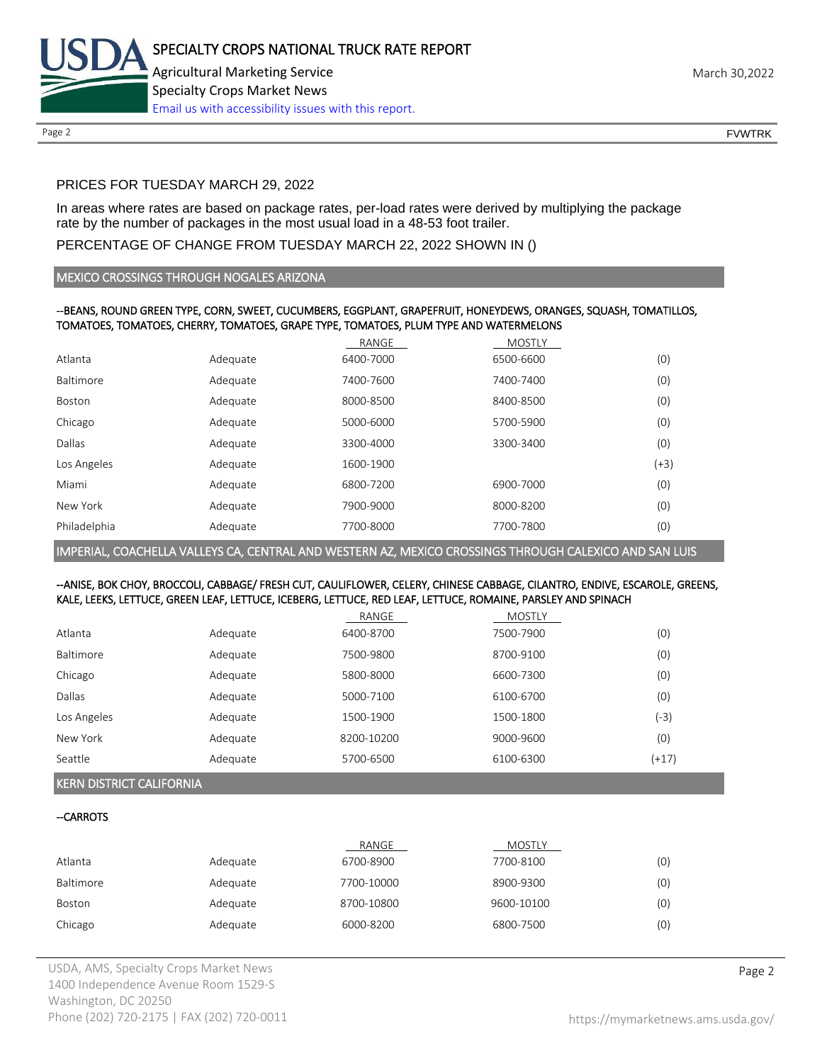

#### PRICES FOR TUESDAY MARCH 29, 2022

In areas where rates are based on package rates, per-load rates were derived by multiplying the package rate by the number of packages in the most usual load in a 48-53 foot trailer.

#### PERCENTAGE OF CHANGE FROM TUESDAY MARCH 22, 2022 SHOWN IN ()

#### MEXICO CROSSINGS THROUGH NOGALES ARIZONA

#### --BEANS, ROUND GREEN TYPE, CORN, SWEET, CUCUMBERS, EGGPLANT, GRAPEFRUIT, HONEYDEWS, ORANGES, SQUASH, TOMATILLOS, TOMATOES, TOMATOES, CHERRY, TOMATOES, GRAPE TYPE, TOMATOES, PLUM TYPE AND WATERMELONS

|              |          | RANGE     | <b>MOSTLY</b> |        |
|--------------|----------|-----------|---------------|--------|
| Atlanta      | Adequate | 6400-7000 | 6500-6600     | (0)    |
| Baltimore    | Adequate | 7400-7600 | 7400-7400     | (0)    |
| Boston       | Adequate | 8000-8500 | 8400-8500     | (0)    |
| Chicago      | Adequate | 5000-6000 | 5700-5900     | (0)    |
| Dallas       | Adequate | 3300-4000 | 3300-3400     | (0)    |
| Los Angeles  | Adequate | 1600-1900 |               | $(+3)$ |
| Miami        | Adequate | 6800-7200 | 6900-7000     | (0)    |
| New York     | Adequate | 7900-9000 | 8000-8200     | (0)    |
| Philadelphia | Adequate | 7700-8000 | 7700-7800     | (0)    |

IMPERIAL, COACHELLA VALLEYS CA, CENTRAL AND WESTERN AZ, MEXICO CROSSINGS THROUGH CALEXICO AND SAN LUIS

#### --ANISE, BOK CHOY, BROCCOLI, CABBAGE/ FRESH CUT, CAULIFLOWER, CELERY, CHINESE CABBAGE, CILANTRO, ENDIVE, ESCAROLE, GREENS, KALE, LEEKS, LETTUCE, GREEN LEAF, LETTUCE, ICEBERG, LETTUCE, RED LEAF, LETTUCE, ROMAINE, PARSLEY AND SPINACH

|             |          | RANGE      | MOSTLY    |         |
|-------------|----------|------------|-----------|---------|
| Atlanta     | Adequate | 6400-8700  | 7500-7900 | (0)     |
| Baltimore   | Adequate | 7500-9800  | 8700-9100 | (0)     |
| Chicago     | Adequate | 5800-8000  | 6600-7300 | (0)     |
| Dallas      | Adequate | 5000-7100  | 6100-6700 | (0)     |
| Los Angeles | Adequate | 1500-1900  | 1500-1800 | (-3)    |
| New York    | Adequate | 8200-10200 | 9000-9600 | (0)     |
| Seattle     | Adequate | 5700-6500  | 6100-6300 | $(+17)$ |

#### KERN DISTRICT CALIFORNIA

#### --CARROTS

|           |          | RANGE      | <b>MOSTLY</b> |     |
|-----------|----------|------------|---------------|-----|
| Atlanta   | Adequate | 6700-8900  | 7700-8100     | (0) |
| Baltimore | Adequate | 7700-10000 | 8900-9300     | (0) |
| Boston    | Adequate | 8700-10800 | 9600-10100    | (0) |
| Chicago   | Adequate | 6000-8200  | 6800-7500     | (0) |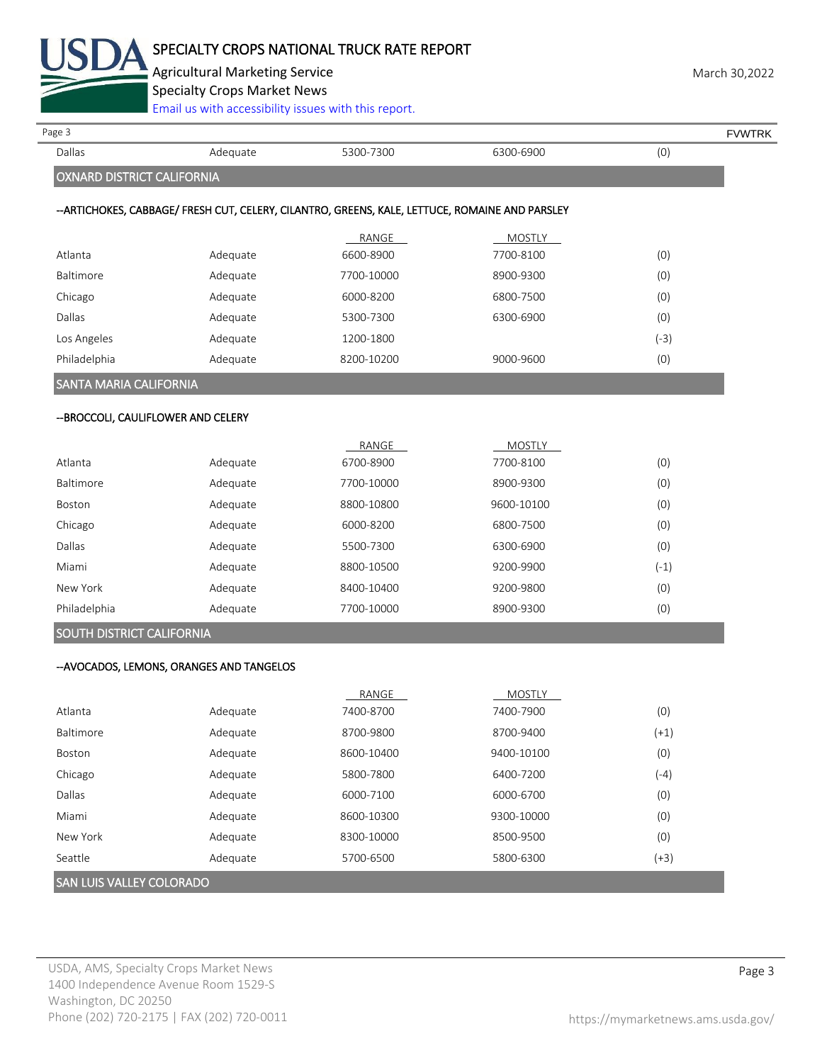

Agricultural Marketing Service **March 30,2022** 

Specialty Crops Market News

[Email us with accessibility issues with this report.](mailto:mars@ams.usda.gov?subject=508%20Inquiry/Report)

| Page 3                              |                                           |                                                                                                 |               |        | <b>FVWTRK</b> |
|-------------------------------------|-------------------------------------------|-------------------------------------------------------------------------------------------------|---------------|--------|---------------|
| Dallas                              | Adequate                                  | 5300-7300                                                                                       | 6300-6900     | (0)    |               |
| <b>OXNARD DISTRICT CALIFORNIA</b>   |                                           |                                                                                                 |               |        |               |
|                                     |                                           | -- ARTICHOKES, CABBAGE/ FRESH CUT, CELERY, CILANTRO, GREENS, KALE, LETTUCE, ROMAINE AND PARSLEY |               |        |               |
|                                     |                                           | RANGE                                                                                           | <b>MOSTLY</b> |        |               |
| Atlanta                             | Adequate                                  | 6600-8900                                                                                       | 7700-8100     | (0)    |               |
| Baltimore                           | Adequate                                  | 7700-10000                                                                                      | 8900-9300     | (0)    |               |
| Chicago                             | Adequate                                  | 6000-8200                                                                                       | 6800-7500     | (0)    |               |
| Dallas                              | Adequate                                  | 5300-7300                                                                                       | 6300-6900     | (0)    |               |
| Los Angeles                         | Adequate                                  | 1200-1800                                                                                       |               | $(-3)$ |               |
| Philadelphia                        | Adequate                                  | 8200-10200                                                                                      | 9000-9600     | (0)    |               |
| <b>SANTA MARIA CALIFORNIA</b>       |                                           |                                                                                                 |               |        |               |
| -- BROCCOLI, CAULIFLOWER AND CELERY |                                           |                                                                                                 |               |        |               |
|                                     |                                           | RANGE                                                                                           | <b>MOSTLY</b> |        |               |
| Atlanta                             | Adequate                                  | 6700-8900                                                                                       | 7700-8100     | (0)    |               |
| Baltimore                           | Adequate                                  | 7700-10000                                                                                      | 8900-9300     | (0)    |               |
| Boston                              | Adequate                                  | 8800-10800                                                                                      | 9600-10100    | (0)    |               |
| Chicago                             | Adequate                                  | 6000-8200                                                                                       | 6800-7500     | (0)    |               |
| Dallas                              | Adequate                                  | 5500-7300                                                                                       | 6300-6900     | (0)    |               |
| Miami                               | Adequate                                  | 8800-10500                                                                                      | 9200-9900     | $(-1)$ |               |
| New York                            | Adequate                                  | 8400-10400                                                                                      | 9200-9800     | (0)    |               |
| Philadelphia                        | Adequate                                  | 7700-10000                                                                                      | 8900-9300     | (0)    |               |
| SOUTH DISTRICT CALIFORNIA           |                                           |                                                                                                 |               |        |               |
|                                     | -- AVOCADOS, LEMONS, ORANGES AND TANGELOS |                                                                                                 |               |        |               |
|                                     |                                           | RANGE                                                                                           | <b>MOSTLY</b> |        |               |
| Atlanta                             | Adequate                                  | 7400-8700                                                                                       | 7400-7900     | (0)    |               |
| Baltimore                           | Adequate                                  | 8700-9800                                                                                       | 8700-9400     | $(+1)$ |               |
| Boston                              | Adequate                                  | 8600-10400                                                                                      | 9400-10100    | (0)    |               |
| Chicago                             | Adequate                                  | 5800-7800                                                                                       | 6400-7200     | $(-4)$ |               |
| Dallas                              | Adequate                                  | 6000-7100                                                                                       | 6000-6700     | (0)    |               |
| Miami                               | Adequate                                  | 8600-10300                                                                                      | 9300-10000    | (0)    |               |
| New York                            | Adequate                                  | 8300-10000                                                                                      | 8500-9500     | (0)    |               |
| Seattle                             | Adequate                                  | 5700-6500                                                                                       | 5800-6300     | $(+3)$ |               |

## SAN LUIS VALLEY COLORADO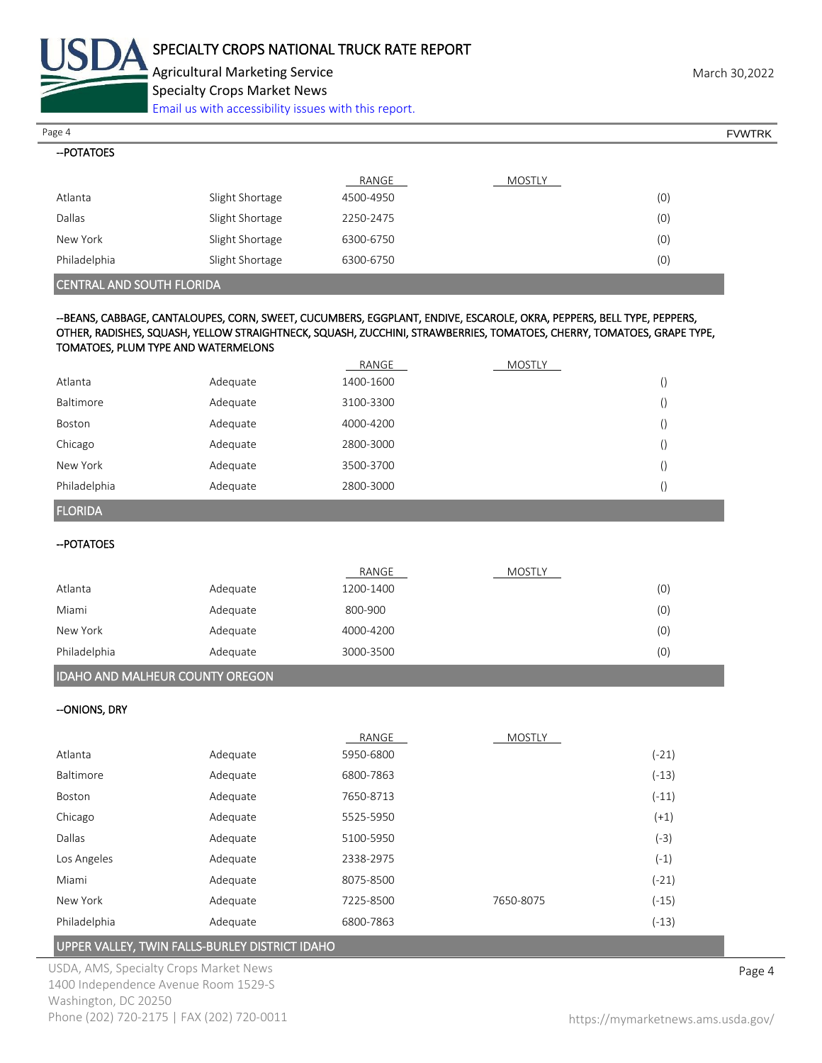

--POTATOES

Agricultural Marketing Service **March 30,2022** Specialty Crops Market News

[Email us with accessibility issues with this report.](mailto:mars@ams.usda.gov?subject=508%20Inquiry/Report)

Page 4 FOUNTRK And the set of the set of the set of the set of the set of the set of the set of the set of the set of the set of the set of the set of the set of the set of the set of the set of the set of the set of the s

|                                  |                 | RANGE     | MOSTLY |     |
|----------------------------------|-----------------|-----------|--------|-----|
| Atlanta                          | Slight Shortage | 4500-4950 |        | (0) |
| Dallas                           | Slight Shortage | 2250-2475 |        | (0) |
| New York                         | Slight Shortage | 6300-6750 |        | (0) |
| Philadelphia                     | Slight Shortage | 6300-6750 |        | (0) |
| <b>CENTRAL AND SOUTH FLORIDA</b> |                 |           |        |     |

#### --BEANS, CABBAGE, CANTALOUPES, CORN, SWEET, CUCUMBERS, EGGPLANT, ENDIVE, ESCAROLE, OKRA, PEPPERS, BELL TYPE, PEPPERS, OTHER, RADISHES, SQUASH, YELLOW STRAIGHTNECK, SQUASH, ZUCCHINI, STRAWBERRIES, TOMATOES, CHERRY, TOMATOES, GRAPE TYPE, TOMATOES, PLUM TYPE AND WATERMELONS

|              |          | RANGE     | MOSTLY |  |
|--------------|----------|-----------|--------|--|
| Atlanta      | Adequate | 1400-1600 |        |  |
| Baltimore    | Adequate | 3100-3300 |        |  |
| Boston       | Adequate | 4000-4200 |        |  |
| Chicago      | Adequate | 2800-3000 |        |  |
| New York     | Adequate | 3500-3700 |        |  |
| Philadelphia | Adequate | 2800-3000 |        |  |

FLORIDA

--POTATOES

|              |          | RANGE     | <b>MOSTLY</b> |     |
|--------------|----------|-----------|---------------|-----|
| Atlanta      | Adequate | 1200-1400 |               | (0) |
| Miami        | Adequate | 800-900   |               | (0) |
| New York     | Adequate | 4000-4200 |               | (0) |
| Philadelphia | Adequate | 3000-3500 |               | (0) |
|              |          |           |               |     |

#### IDAHO AND MALHEUR COUNTY OREGON

--ONIONS, DRY

|                  |          | RANGE     | <b>MOSTLY</b> |         |
|------------------|----------|-----------|---------------|---------|
| Atlanta          | Adequate | 5950-6800 |               | $(-21)$ |
| <b>Baltimore</b> | Adequate | 6800-7863 |               | $(-13)$ |
| Boston           | Adequate | 7650-8713 |               | $(-11)$ |
| Chicago          | Adequate | 5525-5950 |               | $(+1)$  |
| Dallas           | Adequate | 5100-5950 |               | $(-3)$  |
| Los Angeles      | Adequate | 2338-2975 |               | $(-1)$  |
| Miami            | Adequate | 8075-8500 |               | $(-21)$ |
| New York         | Adequate | 7225-8500 | 7650-8075     | $(-15)$ |
| Philadelphia     | Adequate | 6800-7863 |               | $(-13)$ |

#### UPPER VALLEY, TWIN FALLS-BURLEY DISTRICT IDAHO

USDA, AMS, Specialty Crops Market News **Page 4** 1400 Independence Avenue Room 1529-S Washington, DC 20250 Phone (202) 720-2175 | FAX (202) 720-0011 <https://mymarketnews.ams.usda.gov/>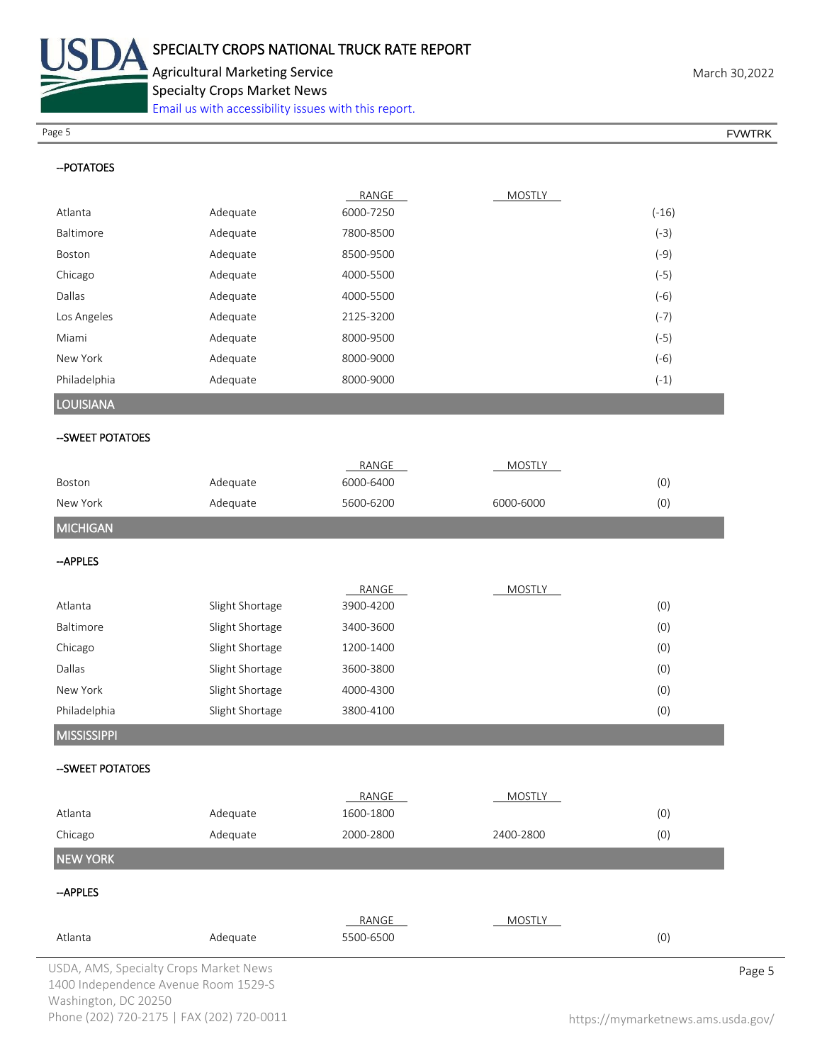

Specialty Crops Market News

[Email us with accessibility issues with this report.](mailto:mars@ams.usda.gov?subject=508%20Inquiry/Report)

Page 5 FOUNTRK And the set of the set of the set of the set of the set of the set of the set of the set of the set of the set of the set of the set of the set of the set of the set of the set of the set of the set of the s

| -- POTATOES        |                 |           |               |         |
|--------------------|-----------------|-----------|---------------|---------|
|                    |                 | RANGE     | <b>MOSTLY</b> |         |
| Atlanta            | Adequate        | 6000-7250 |               | $(-16)$ |
| Baltimore          | Adequate        | 7800-8500 |               | $(-3)$  |
| Boston             | Adequate        | 8500-9500 |               | $(-9)$  |
| Chicago            | Adequate        | 4000-5500 |               | $(-5)$  |
| Dallas             | Adequate        | 4000-5500 |               | $(-6)$  |
| Los Angeles        | Adequate        | 2125-3200 |               | $(-7)$  |
| Miami              | Adequate        | 8000-9500 |               | $(-5)$  |
| New York           | Adequate        | 8000-9000 |               | $(-6)$  |
| Philadelphia       | Adequate        | 8000-9000 |               | $(-1)$  |
| <b>LOUISIANA</b>   |                 |           |               |         |
| -- SWEET POTATOES  |                 |           |               |         |
|                    |                 | RANGE     | <b>MOSTLY</b> |         |
| Boston             | Adequate        | 6000-6400 |               | (0)     |
| New York           | Adequate        | 5600-6200 | 6000-6000     | (0)     |
| <b>MICHIGAN</b>    |                 |           |               |         |
| --APPLES           |                 |           |               |         |
|                    |                 | RANGE     | <b>MOSTLY</b> |         |
| Atlanta            | Slight Shortage | 3900-4200 |               | (0)     |
| Baltimore          | Slight Shortage | 3400-3600 |               | (0)     |
| Chicago            | Slight Shortage | 1200-1400 |               | (0)     |
| Dallas             | Slight Shortage | 3600-3800 |               | (0)     |
| New York           | Slight Shortage | 4000-4300 |               | (0)     |
| Philadelphia       | Slight Shortage | 3800-4100 |               | (0)     |
| <b>MISSISSIPPI</b> |                 |           |               |         |
| --SWEET POTATOES   |                 |           |               |         |
|                    |                 | RANGE     | <b>MOSTLY</b> |         |
| Atlanta            | Adequate        | 1600-1800 |               | (0)     |
| Chicago            | Adequate        | 2000-2800 | 2400-2800     | (0)     |
| <b>NEW YORK</b>    |                 |           |               |         |
| -- APPLES          |                 |           |               |         |
|                    |                 | RANGE     | <b>MOSTLY</b> |         |
| Atlanta            | Adequate        | 5500-6500 |               | (0)     |

USDA, AMS, Specialty Crops Market News **Page 5** 1400 Independence Avenue Room 1529-S Washington, DC 20250 Phone (202) 720-2175 | FAX (202) 720-0011 <https://mymarketnews.ams.usda.gov/>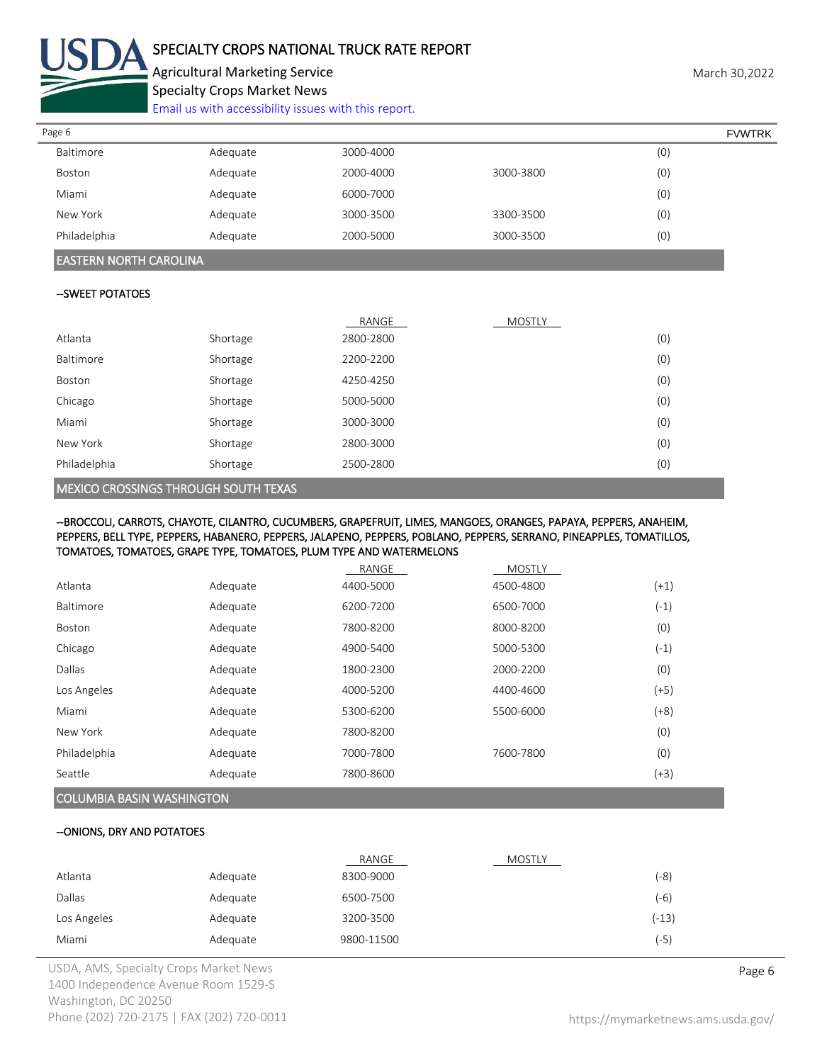

# SPECIALTY CROPS NATIONAL TRUCK RATE REPORT

Agricultural Marketing Service **March 30,2022** Specialty Crops Market News

[Email us with accessibility issues with this report.](mailto:mars@ams.usda.gov?subject=508%20Inquiry/Report)

| Page 6       |          |           |           | <b>FVWTRK</b> |  |
|--------------|----------|-----------|-----------|---------------|--|
| Baltimore    | Adequate | 3000-4000 |           | (0)           |  |
| Boston       | Adequate | 2000-4000 | 3000-3800 | (0)           |  |
| Miami        | Adequate | 6000-7000 |           | (0)           |  |
| New York     | Adequate | 3000-3500 | 3300-3500 | (0)           |  |
| Philadelphia | Adequate | 2000-5000 | 3000-3500 | (0)           |  |

#### EASTERN NORTH CAROLINA

#### --SWEET POTATOES

|              |          | RANGE     | <b>MOSTLY</b> |     |
|--------------|----------|-----------|---------------|-----|
| Atlanta      | Shortage | 2800-2800 |               | (0) |
| Baltimore    | Shortage | 2200-2200 |               | (0) |
| Boston       | Shortage | 4250-4250 |               | (0) |
| Chicago      | Shortage | 5000-5000 |               | (0) |
| Miami        | Shortage | 3000-3000 |               | (0) |
| New York     | Shortage | 2800-3000 |               | (0) |
| Philadelphia | Shortage | 2500-2800 |               | (0) |

#### MEXICO CROSSINGS THROUGH SOUTH TEXAS

#### --BROCCOLI, CARROTS, CHAYOTE, CILANTRO, CUCUMBERS, GRAPEFRUIT, LIMES, MANGOES, ORANGES, PAPAYA, PEPPERS, ANAHEIM, PEPPERS, BELL TYPE, PEPPERS, HABANERO, PEPPERS, JALAPENO, PEPPERS, POBLANO, PEPPERS, SERRANO, PINEAPPLES, TOMATILLOS, TOMATOES, TOMATOES, GRAPE TYPE, TOMATOES, PLUM TYPE AND WATERMELONS

|                                  |          | RANGE     | <b>MOSTLY</b> |        |
|----------------------------------|----------|-----------|---------------|--------|
| Atlanta                          | Adequate | 4400-5000 | 4500-4800     | $(+1)$ |
| Baltimore                        | Adequate | 6200-7200 | 6500-7000     | $(-1)$ |
| <b>Boston</b>                    | Adequate | 7800-8200 | 8000-8200     | (0)    |
| Chicago                          | Adequate | 4900-5400 | 5000-5300     | $(-1)$ |
| Dallas                           | Adequate | 1800-2300 | 2000-2200     | (0)    |
| Los Angeles                      | Adequate | 4000-5200 | 4400-4600     | $(+5)$ |
| Miami                            | Adequate | 5300-6200 | 5500-6000     | $(+8)$ |
| New York                         | Adequate | 7800-8200 |               | (0)    |
| Philadelphia                     | Adequate | 7000-7800 | 7600-7800     | (0)    |
| Seattle                          | Adequate | 7800-8600 |               | $(+3)$ |
| <b>COLUMBIA BASIN WASHINGTON</b> |          |           |               |        |

# --ONIONS, DRY AND POTATOES

|             |          | RANGE      | <b>MOSTLY</b> |         |
|-------------|----------|------------|---------------|---------|
| Atlanta     | Adequate | 8300-9000  |               | (-8)    |
| Dallas      | Adequate | 6500-7500  |               | (-6)    |
| Los Angeles | Adequate | 3200-3500  |               | $(-13)$ |
| Miami       | Adequate | 9800-11500 |               | (-5)    |

USDA, AMS, Specialty Crops Market News **Page 6** 1400 Independence Avenue Room 1529-S Washington, DC 20250 Phone (202) 720-2175 | FAX (202) 720-0011 <https://mymarketnews.ams.usda.gov/>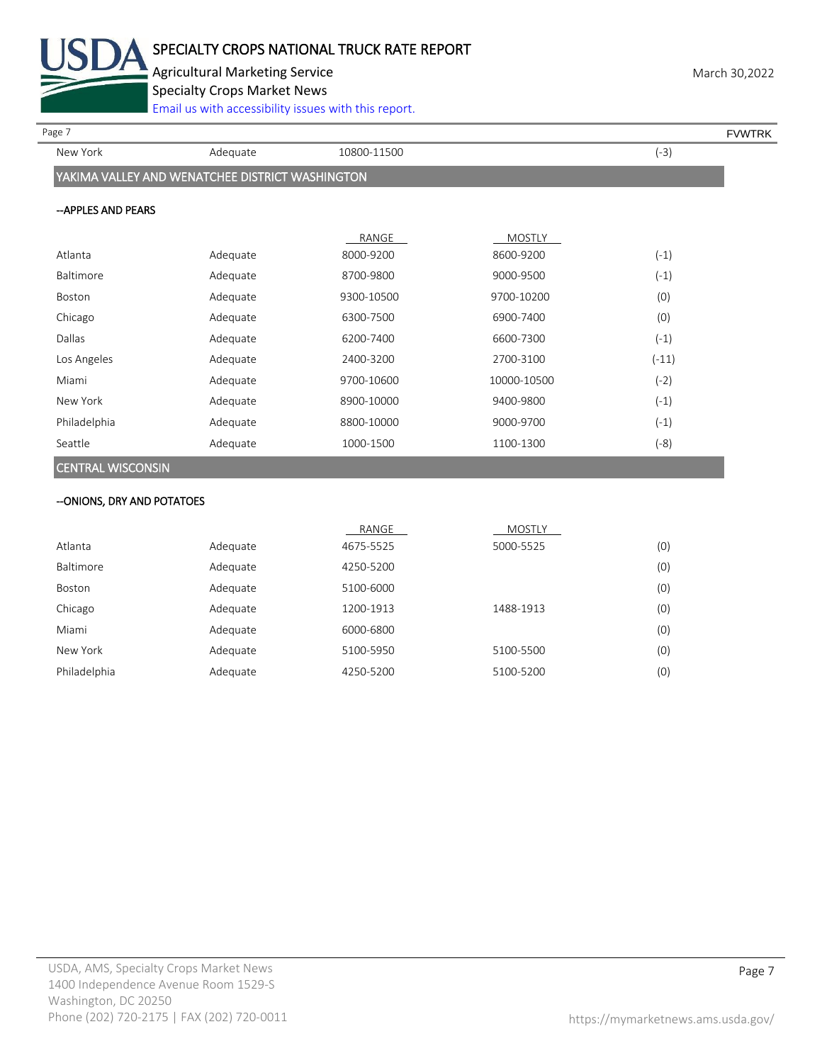

Agricultural Marketing Service **March 30,2022** Specialty Crops Market News

[Email us with accessibility issues with this report.](mailto:mars@ams.usda.gov?subject=508%20Inquiry/Report)

Page 7 FOUNTRK And the set of the set of the set of the set of the set of the set of the set of the set of the set of the set of the set of the set of the set of the set of the set of the set of the set of the set of the s

New York Adequate 10800-11500 (-3)

# YAKIMA VALLEY AND WENATCHEE DISTRICT WASHINGTON

#### --APPLES AND PEARS

|                          |          | RANGE      | <b>MOSTLY</b> |         |
|--------------------------|----------|------------|---------------|---------|
| Atlanta                  | Adequate | 8000-9200  | 8600-9200     | $(-1)$  |
| Baltimore                | Adequate | 8700-9800  | 9000-9500     | $(-1)$  |
| <b>Boston</b>            | Adequate | 9300-10500 | 9700-10200    | (0)     |
| Chicago                  | Adequate | 6300-7500  | 6900-7400     | (0)     |
| Dallas                   | Adequate | 6200-7400  | 6600-7300     | $(-1)$  |
| Los Angeles              | Adequate | 2400-3200  | 2700-3100     | $(-11)$ |
| Miami                    | Adequate | 9700-10600 | 10000-10500   | $(-2)$  |
| New York                 | Adequate | 8900-10000 | 9400-9800     | $(-1)$  |
| Philadelphia             | Adequate | 8800-10000 | 9000-9700     | $(-1)$  |
| Seattle                  | Adequate | 1000-1500  | 1100-1300     | (-8)    |
| <b>CENTRAL WISCONSIN</b> |          |            |               |         |

# --ONIONS, DRY AND POTATOES

|              |          | RANGE     | <b>MOSTLY</b> |     |
|--------------|----------|-----------|---------------|-----|
| Atlanta      | Adequate | 4675-5525 | 5000-5525     | (0) |
| Baltimore    | Adequate | 4250-5200 |               | (0) |
| Boston       | Adequate | 5100-6000 |               | (0) |
| Chicago      | Adequate | 1200-1913 | 1488-1913     | (0) |
| Miami        | Adequate | 6000-6800 |               | (0) |
| New York     | Adequate | 5100-5950 | 5100-5500     | (0) |
| Philadelphia | Adequate | 4250-5200 | 5100-5200     | (0) |